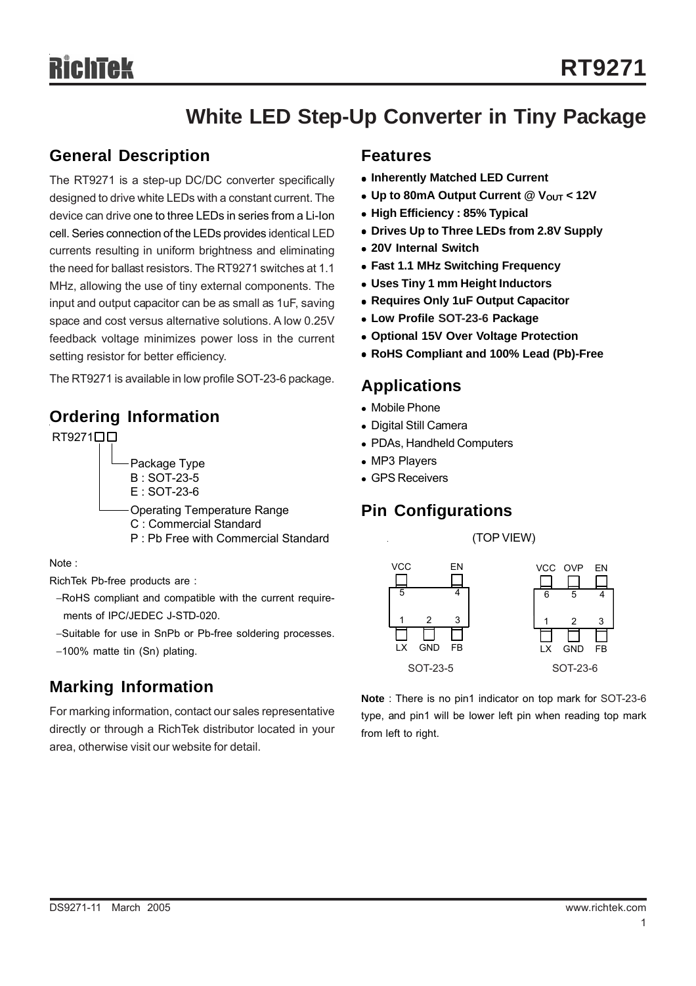## **White LED Step-Up Converter in Tiny Package**

## **General Description**

The RT9271 is a step-up DC/DC converter specifically designed to drive white LEDs with a constant current. The device can drive one to three LEDs in series from a Li-Ion cell. Series connection of the LEDs provides identical LED currents resulting in uniform brightness and eliminating the need for ballast resistors. The RT9271 switches at 1.1 MHz, allowing the use of tiny external components. The input and output capacitor can be as small as 1uF, saving space and cost versus alternative solutions. A low 0.25V feedback voltage minimizes power loss in the current setting resistor for better efficiency.

The RT9271 is available in low profile SOT-23-6 package.

## **Ordering Information**

RT9271<sup>D</sup> Package Type B : SOT-23-5 E : SOT-23-6 Operating Temperature Range C : Commercial Standard P : Pb Free with Commercial Standard (TOP VIEW)

Note :

RichTek Pb-free products are :

- −RoHS compliant and compatible with the current require ments of IPC/JEDEC J-STD-020.
- −Suitable for use in SnPb or Pb-free soldering processes.

## **Marking Information**

For marking information, contact our sales representative directly or through a RichTek distributor located in your area, otherwise visit our website for detail.

### **Features**

- **Inherently Matched LED Current**
- Up to 80mA Output Current @ V<sub>OUT</sub> < 12V
- **High Efficiency : 85% Typical**
- **Drives Up to Three LEDs from 2.8V Supply**
- <sup>z</sup> **20V Internal Switch**
- <sup>z</sup> **Fast 1.1 MHz Switching Frequency**
- <sup>z</sup> **Uses Tiny 1 mm Height Inductors**
- **Requires Only 1uF Output Capacitor**
- <sup>z</sup> **Low Profile SOT-23-6 Package**
- **Optional 15V Over Voltage Protection**
- <sup>z</sup> **RoHS Compliant and 100% Lead (Pb)-Free**

## **Applications**

- Mobile Phone
- Digital Still Camera
- PDAs, Handheld Computers
- MP3 Players
- GPS Receivers

## **Pin Configurations**





**Note** : There is no pin1 indicator on top mark for SOT-23-6 type, and pin1 will be lower left pin when reading top mark from left to right.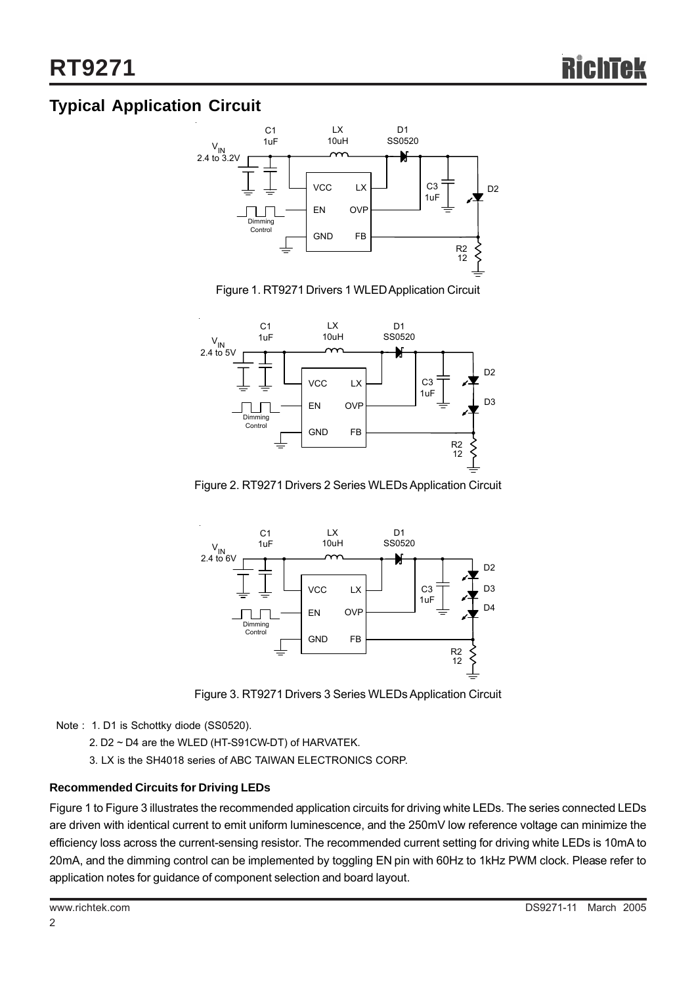## **Typical AppIication Circuit**



Figure 1. RT9271 Drivers 1 WLED Application Circuit



Figure 2. RT9271 Drivers 2 Series WLEDs Application Circuit



Figure 3. RT9271 Drivers 3 Series WLEDs Application Circuit

Note : 1. D1 is Schottky diode (SS0520).

- 2. D2 ~ D4 are the WLED (HT-S91CW-DT) of HARVATEK.
- 3. LX is the SH4018 series of ABC TAIWAN ELECTRONICS CORP.

### **Recommended Circuits for Driving LEDs**

Figure 1 to Figure 3 illustrates the recommended application circuits for driving white LEDs. The series connected LEDs are driven with identical current to emit uniform luminescence, and the 250mV low reference voltage can minimize the efficiency loss across the current-sensing resistor. The recommended current setting for driving white LEDs is 10mA to 20mA, and the dimming control can be implemented by toggling EN pin with 60Hz to 1kHz PWM clock. Please refer to application notes for guidance of component selection and board layout.

2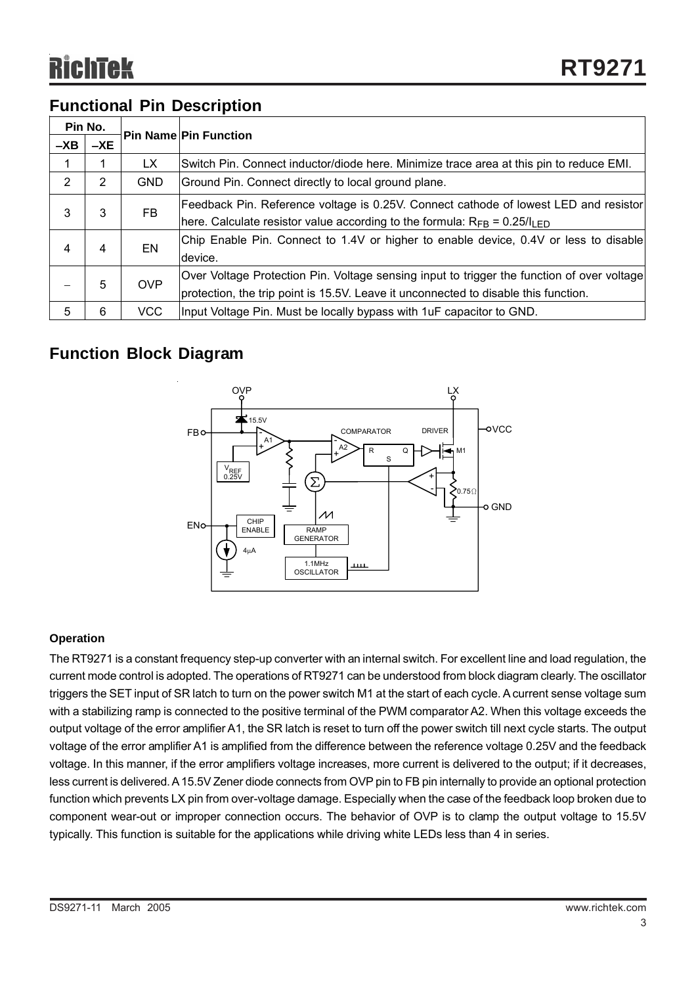## **Functional Pin Description**

| Pin No. |       |            |                                                                                                                                                                                   |  |
|---------|-------|------------|-----------------------------------------------------------------------------------------------------------------------------------------------------------------------------------|--|
| $-XB$   | $-XE$ |            | <b>Pin Name Pin Function</b>                                                                                                                                                      |  |
|         |       | LX.        | Switch Pin. Connect inductor/diode here. Minimize trace area at this pin to reduce EMI.                                                                                           |  |
| 2       | 2     | <b>GND</b> | Ground Pin. Connect directly to local ground plane.                                                                                                                               |  |
| 3       | 3     | FB.        | Feedback Pin. Reference voltage is 0.25V. Connect cathode of lowest LED and resistor<br>here. Calculate resistor value according to the formula: $R_{FB} = 0.25/l_{LED}$          |  |
| 4       | 4     | EN         | Chip Enable Pin. Connect to 1.4V or higher to enable device, 0.4V or less to disable<br>device.                                                                                   |  |
|         | 5     | <b>OVP</b> | Over Voltage Protection Pin. Voltage sensing input to trigger the function of over voltage<br>protection, the trip point is 15.5V. Leave it unconnected to disable this function. |  |
| 5       | 6     | <b>VCC</b> | Input Voltage Pin. Must be locally bypass with 1uF capacitor to GND.                                                                                                              |  |

## **Function Block Diagram**



### **Operation**

The RT9271 is a constant frequency step-up converter with an internal switch. For excellent line and load regulation, the current mode control is adopted. The operations of RT9271 can be understood from block diagram clearly. The oscillator triggers the SET input of SR latch to turn on the power switch M1 at the start of each cycle. A current sense voltage sum with a stabilizing ramp is connected to the positive terminal of the PWM comparator A2. When this voltage exceeds the output voltage of the error amplifier A1, the SR latch is reset to turn off the power switch till next cycle starts. The output voltage of the error amplifier A1 is amplified from the difference between the reference voltage 0.25V and the feedback voltage. In this manner, if the error amplifiers voltage increases, more current is delivered to the output; if it decreases, less current is delivered. A 15.5V Zener diode connects from OVP pin to FB pin internally to provide an optional protection function which prevents LX pin from over-voltage damage. Especially when the case of the feedback loop broken due to component wear-out or improper connection occurs. The behavior of OVP is to clamp the output voltage to 15.5V typically. This function is suitable for the applications while driving white LEDs less than 4 in series.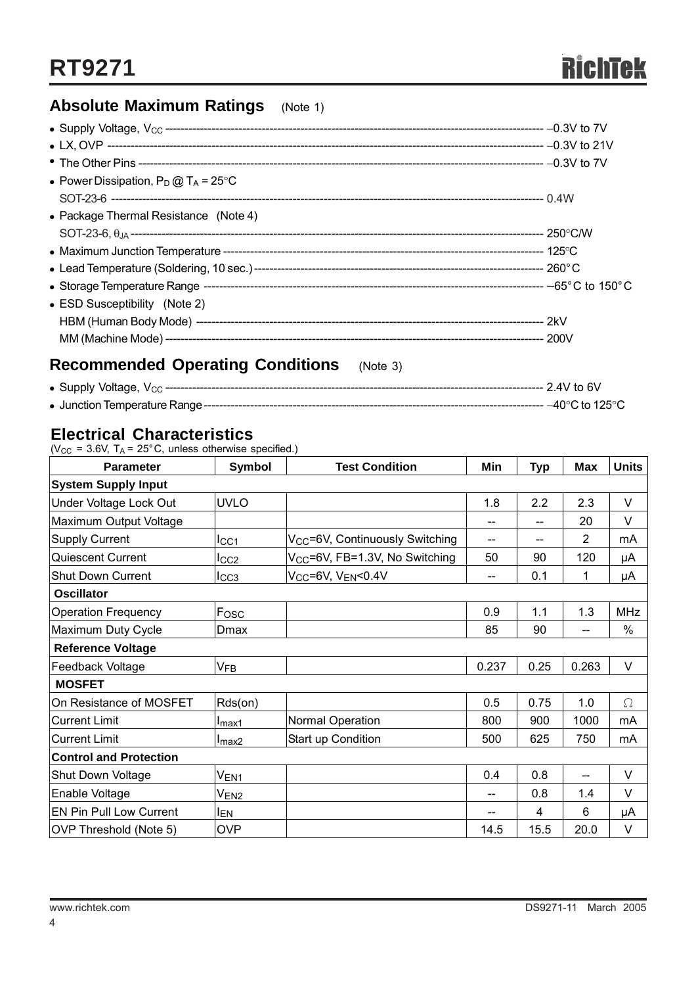## **Absolute Maximum Ratings** (Note 1)

| • Power Dissipation, $P_D @ T_A = 25^{\circ}C$ |  |
|------------------------------------------------|--|
|                                                |  |
| • Package Thermal Resistance (Note 4)          |  |
|                                                |  |
|                                                |  |
|                                                |  |
|                                                |  |
| • ESD Susceptibility (Note 2)                  |  |
|                                                |  |
|                                                |  |
|                                                |  |

## **Recommended Operating Conditions** (Note 3)

| • Supply Voltage, $V_{CC}$ ----  | $2.4V$ to 6V                |
|----------------------------------|-----------------------------|
| • Junction Temperature Range --- | ------------ –40°C to 125°C |

## **Electrical Characteristics**

| <b>Parameter</b>               | <b>Symbol</b>     | <b>Test Condition</b>                       | Min   | <b>Typ</b> | Max                                 | <b>Units</b> |
|--------------------------------|-------------------|---------------------------------------------|-------|------------|-------------------------------------|--------------|
| <b>System Supply Input</b>     |                   |                                             |       |            |                                     |              |
| Under Voltage Lock Out         | <b>UVLO</b>       |                                             | 1.8   | 2.2        | 2.3                                 | $\vee$       |
| Maximum Output Voltage         |                   |                                             | --    | --         | 20                                  | V            |
| <b>Supply Current</b>          | ICC1              | V <sub>CC</sub> =6V, Continuously Switching | --    |            | 2                                   | mA           |
| Quiescent Current              | $_{\text{ICC2}}$  | V <sub>CC</sub> =6V, FB=1.3V, No Switching  | 50    | 90         | 120                                 | μA           |
| <b>Shut Down Current</b>       | I <sub>CC3</sub>  | V <sub>CC</sub> =6V, V <sub>EN</sub> <0.4V  | --    | 0.1        | 1                                   | μA           |
| <b>Oscillator</b>              |                   |                                             |       |            |                                     |              |
| <b>Operation Frequency</b>     | Fosc              |                                             | 0.9   | 1.1        | 1.3                                 | <b>MHz</b>   |
| Maximum Duty Cycle             | Dmax              |                                             | 85    | 90         |                                     | %            |
| <b>Reference Voltage</b>       |                   |                                             |       |            |                                     |              |
| Feedback Voltage               | $V_{FB}$          |                                             | 0.237 | 0.25       | 0.263                               | V            |
| <b>MOSFET</b>                  |                   |                                             |       |            |                                     |              |
| On Resistance of MOSFET        | Rds(on)           |                                             | 0.5   | 0.75       | 1.0                                 | $\Omega$     |
| <b>Current Limit</b>           | I <sub>max1</sub> | Normal Operation                            | 800   | 900        | 1000                                | mA           |
| <b>Current Limit</b>           | I <sub>max2</sub> | Start up Condition                          | 500   | 625        | 750                                 | mA           |
| <b>Control and Protection</b>  |                   |                                             |       |            |                                     |              |
| <b>Shut Down Voltage</b>       | $V_{EN1}$         |                                             | 0.4   | 0.8        | $\hspace{0.05cm}$ $\hspace{0.05cm}$ | V            |
| Enable Voltage                 | $V_{EN2}$         |                                             | --    | 0.8        | 1.4                                 | $\vee$       |
| <b>EN Pin Pull Low Current</b> | <b>IEN</b>        |                                             |       | 4          | 6                                   | μA           |
| OVP Threshold (Note 5)         | <b>OVP</b>        |                                             | 14.5  | 15.5       | 20.0                                | V            |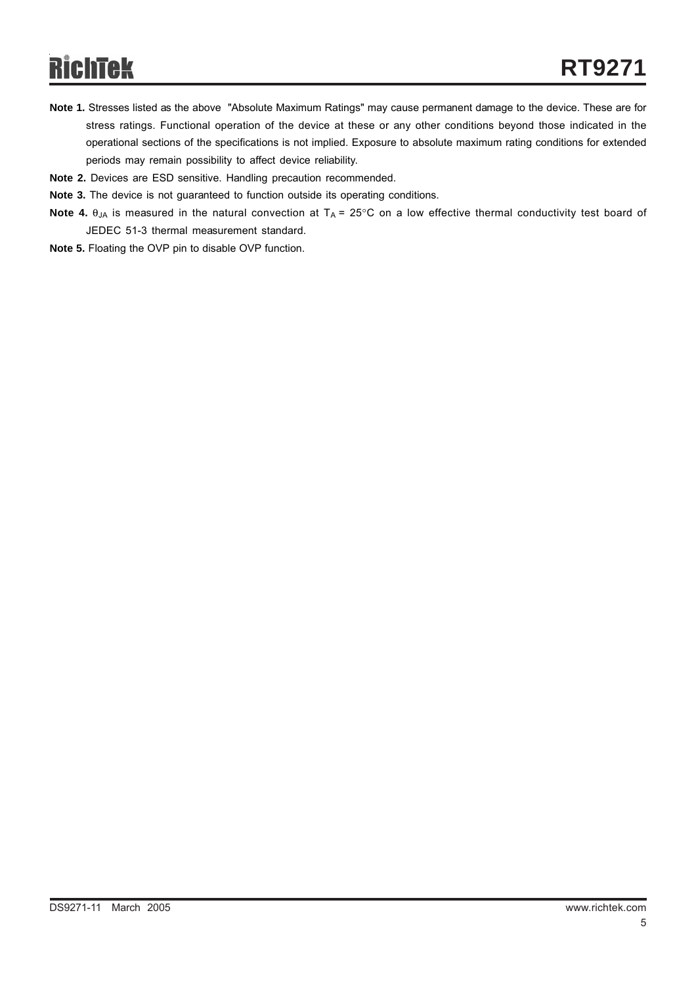# RichTek

- **Note 1.** Stresses listed as the above "Absolute Maximum Ratings" may cause permanent damage to the device. These are for stress ratings. Functional operation of the device at these or any other conditions beyond those indicated in the operational sections of the specifications is not implied. Exposure to absolute maximum rating conditions for extended periods may remain possibility to affect device reliability.
- **Note 2.** Devices are ESD sensitive. Handling precaution recommended.
- **Note 3.** The device is not guaranteed to function outside its operating conditions.
- **Note 4.** θ<sub>JA</sub> is measured in the natural convection at T<sub>A</sub> = 25°C on a low effective thermal conductivity test board of JEDEC 51-3 thermal measurement standard.
- **Note 5.** Floating the OVP pin to disable OVP function.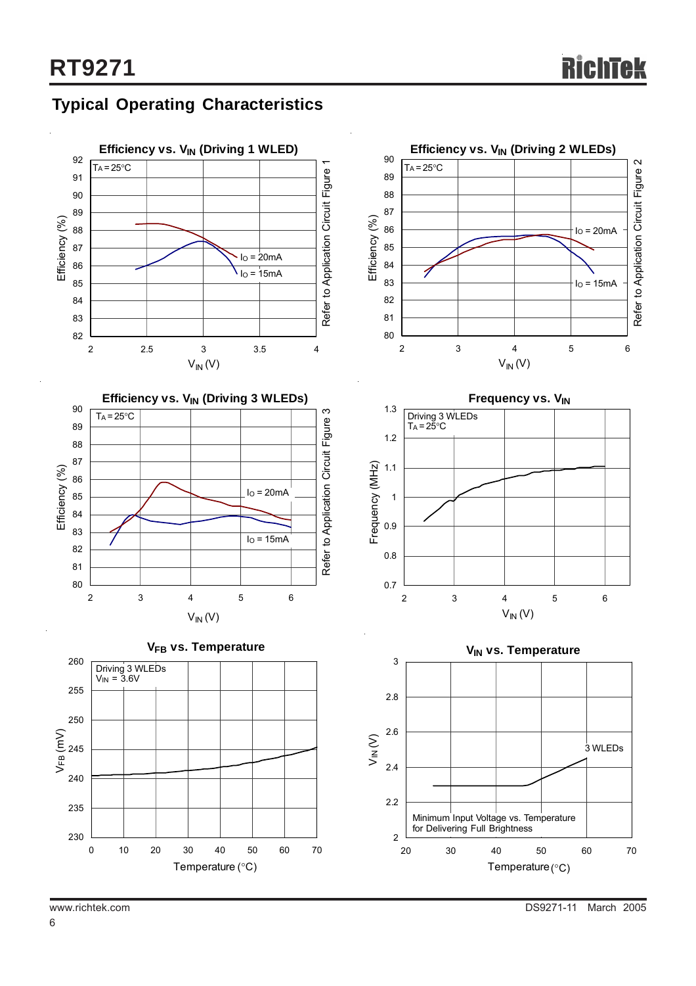## **Typical Operating Characteristics**

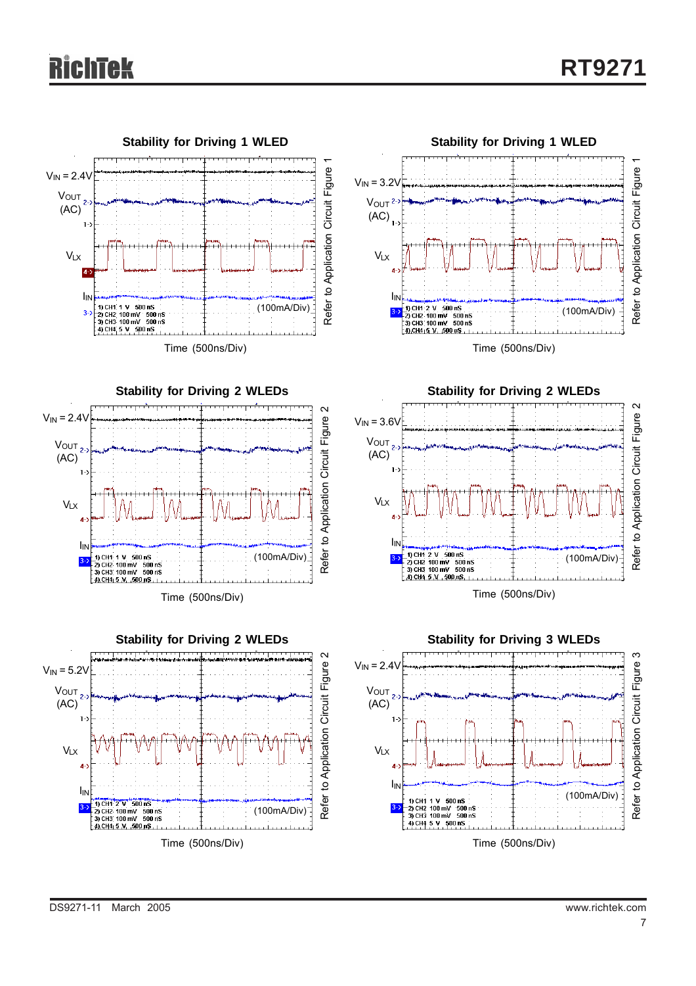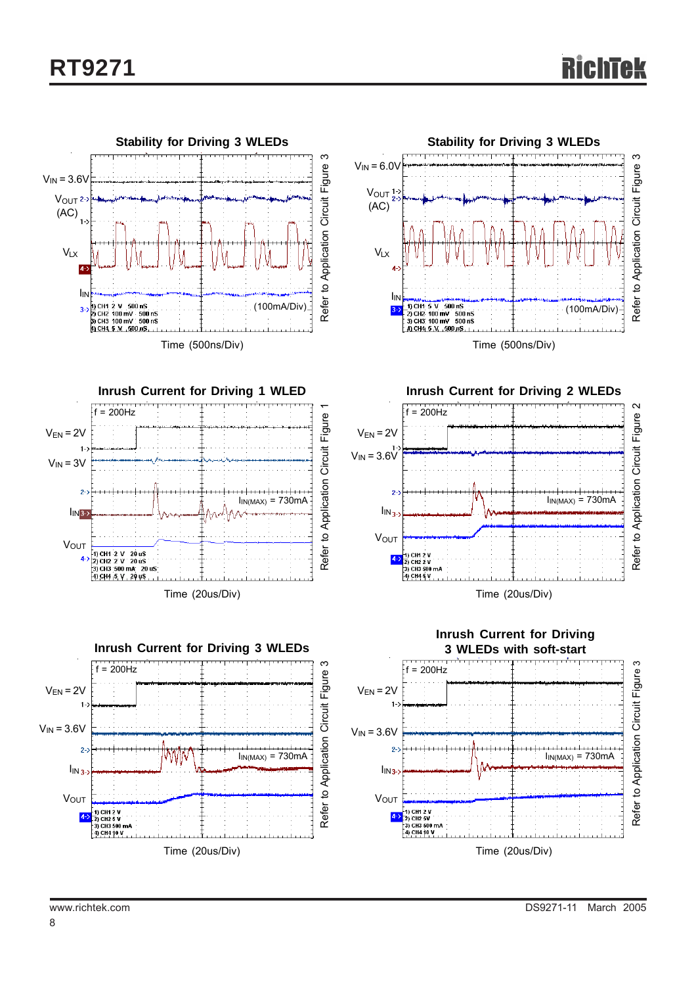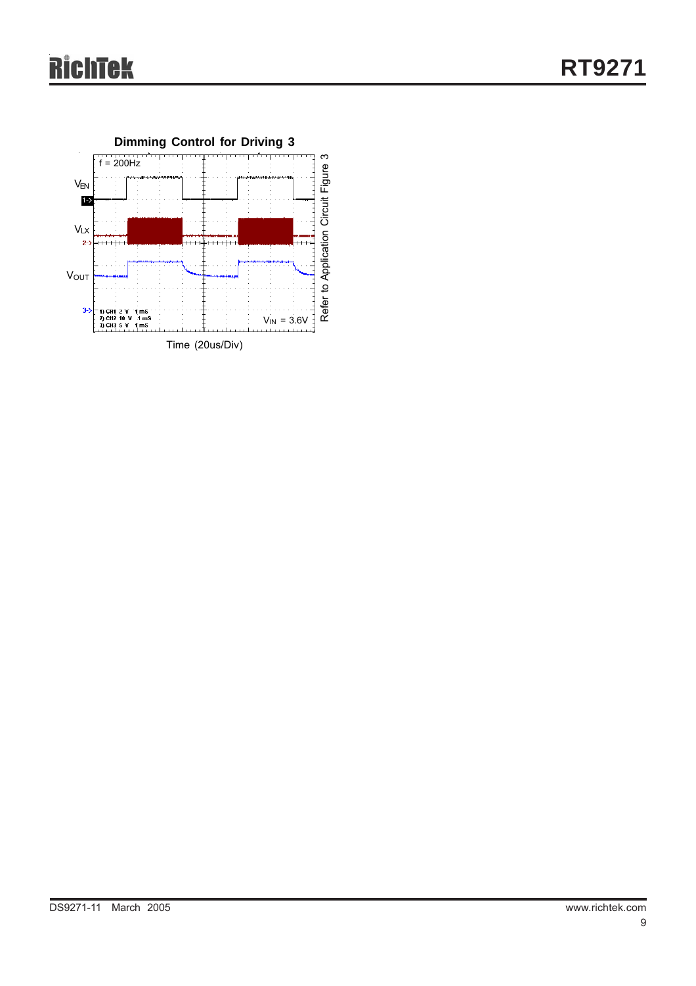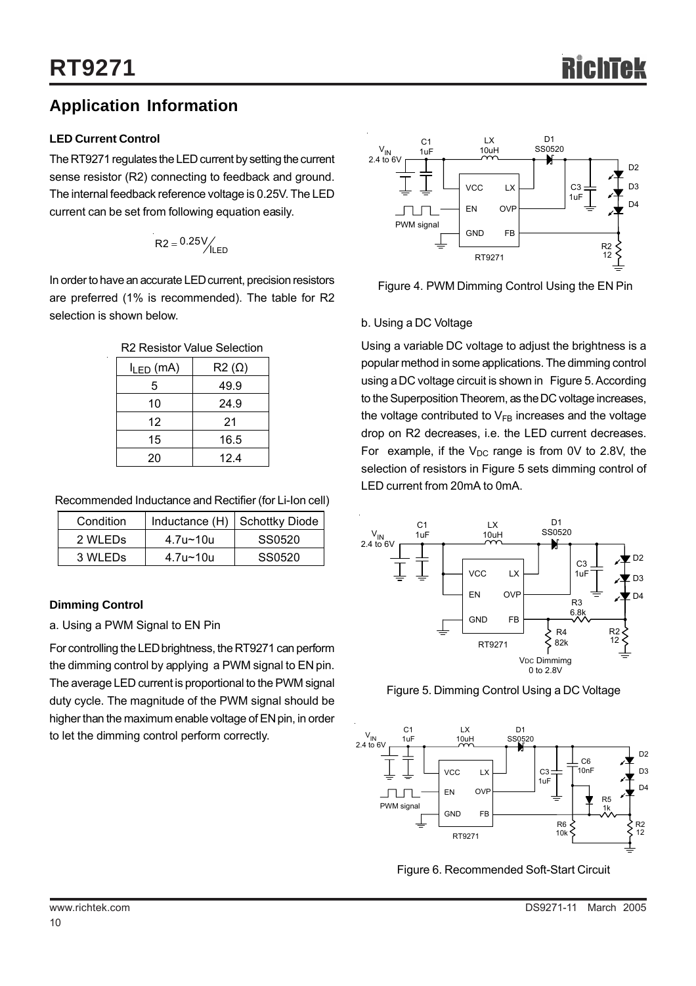## **Application Information**

### **LED Current Control**

The RT9271 regulates the LED current by setting the current sense resistor (R2) connecting to feedback and ground. The internal feedback reference voltage is 0.25V. The LED current can be set from following equation easily.

$$
R2 = 0.25 \frac{V}{ILED}
$$

In order to have an accurate LED current, precision resistors are preferred (1% is recommended). The table for R2 selection is shown below.

| R <sub>2</sub> Resistor Value Selection |
|-----------------------------------------|
|                                         |

| $I_{LED}$ (mA) | $R2(\Omega)$ |
|----------------|--------------|
| 5              | 49.9         |
| 10             | 24.9         |
| 12             | 21           |
| 15             | 16.5         |
| 20             | 12.4         |

Recommended Inductance and Rectifier (for Li-Ion cell)

| Condition |          | Inductance (H) Schottky Diode |
|-----------|----------|-------------------------------|
| 2 WLEDS   | 4.7u~10u | SS0520                        |
| 3 WLEDS   | 4.7u~10u | SS0520                        |

### **Dimming Control**

a. Using a PWM Signal to EN Pin

For controlling the LED brightness, the RT9271 can perform the dimming control by applying a PWM signal to EN pin. The average LED current is proportional to the PWM signal duty cycle. The magnitude of the PWM signal should be higher than the maximum enable voltage of EN pin, in order to let the dimming control perform correctly.



Figure 4. PWM Dimming Control Using the EN Pin

### b. Using a DC Voltage

Using a variable DC voltage to adjust the brightness is a popular method in some applications. The dimming control using a DC voltage circuit is shown in Figure 5. According to the Superposition Theorem, as the DC voltage increases, the voltage contributed to  $V_{FB}$  increases and the voltage drop on R2 decreases, i.e. the LED current decreases. For example, if the  $V_{DC}$  range is from 0V to 2.8V, the selection of resistors in Figure 5 sets dimming control of LED current from 20mA to 0mA.



Figure 5. Dimming Control Using a DC Voltage



Figure 6. Recommended Soft-Start Circuit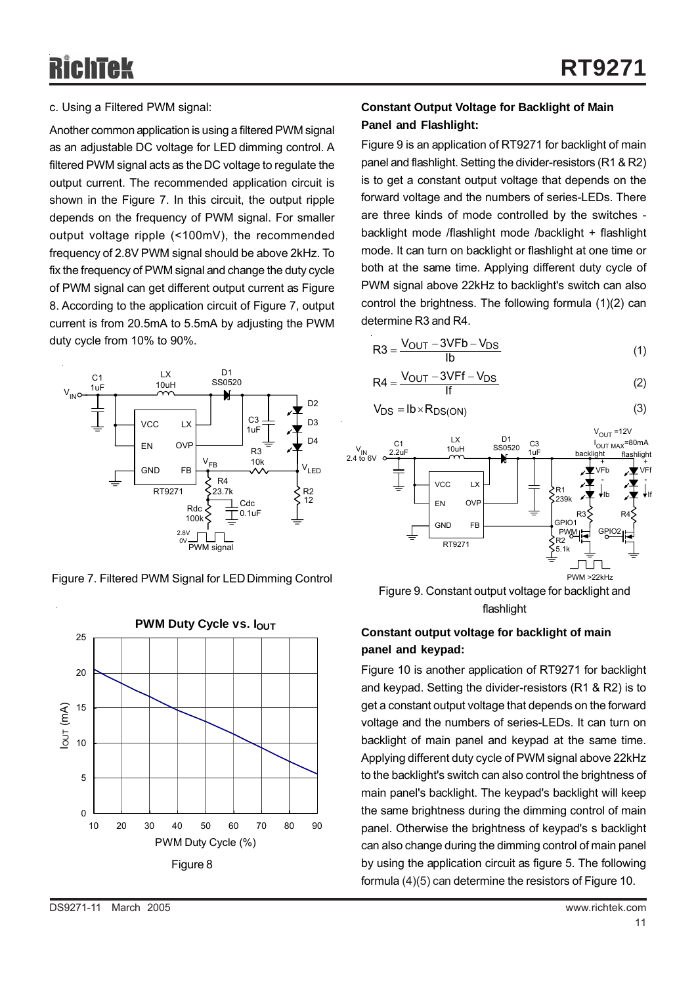### c. Using a Filtered PWM signal:

Another common application is using a filtered PWM signal as an adjustable DC voltage for LED dimming control. A filtered PWM signal acts as the DC voltage to regulate the output current. The recommended application circuit is shown in the Figure 7. In this circuit, the output ripple depends on the frequency of PWM signal. For smaller output voltage ripple (<100mV), the recommended frequency of 2.8V PWM signal should be above 2kHz. To fix the frequency of PWM signal and change the duty cycle of PWM signal can get different output current as Figure 8. According to the application circuit of Figure 7, output current is from 20.5mA to 5.5mA by adjusting the PWM duty cycle from 10% to 90%.



Figure 7. Filtered PWM Signal for LED Dimming Control



### **Constant Output Voltage for Backlight of Main Panel and Flashlight:**

Figure 9 is an application of RT9271 for backlight of main panel and flashlight. Setting the divider-resistors (R1 & R2) is to get a constant output voltage that depends on the forward voltage and the numbers of series-LEDs. There are three kinds of mode controlled by the switches backlight mode /flashlight mode /backlight + flashlight mode. It can turn on backlight or flashlight at one time or both at the same time. Applying different duty cycle of PWM signal above 22kHz to backlight's switch can also control the brightness. The following formula (1)(2) can determine R3 and R4.

$$
R3 = \frac{V_{OUT} - 3VFb - V_{DS}}{lb}
$$
 (1)

$$
R4 = \frac{V_{OUT} - 3VFf - V_{DS}}{If}
$$
 (2)

$$
V_{DS} = Ib \times R_{DS(ON)}
$$
 (3)



Figure 9. Constant output voltage for backlight and flashlight

### **Constant output voltage for backlight of main panel and keypad:**

Figure 10 is another application of RT9271 for backlight and keypad. Setting the divider-resistors (R1 & R2) is to get a constant output voltage that depends on the forward voltage and the numbers of series-LEDs. It can turn on backlight of main panel and keypad at the same time. Applying different duty cycle of PWM signal above 22kHz to the backlight's switch can also control the brightness of main panel's backlight. The keypad's backlight will keep the same brightness during the dimming control of main panel. Otherwise the brightness of keypad's s backlight can also change during the dimming control of main panel by using the application circuit as figure 5. The following formula (4)(5) can determine the resistors of Figure 10.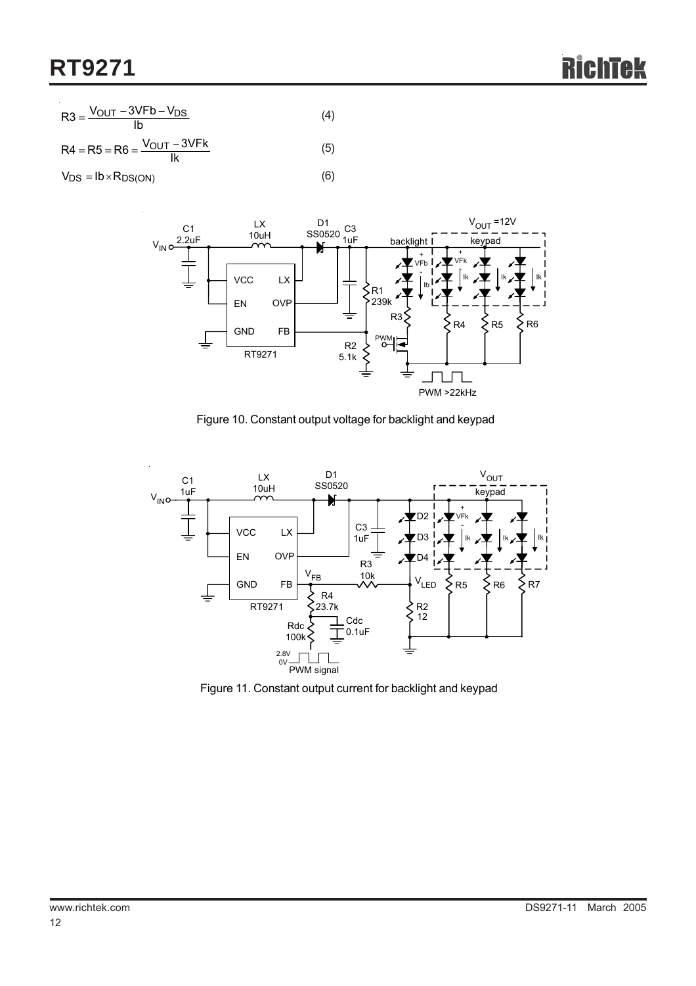$$
R3 = \frac{V_{OUT} - 3VFb - V_{DS}}{lb}
$$
 (4)

OUT  $R4 = R5 = R6 = \frac{V_{OUT} - 3VFk}{Ik}$ (5)

 $V_{DS} = lb \times R_{DS(ON)}$ 



(6)

Figure 10. Constant output voltage for backlight and keypad



Figure 11. Constant output current for backlight and keypad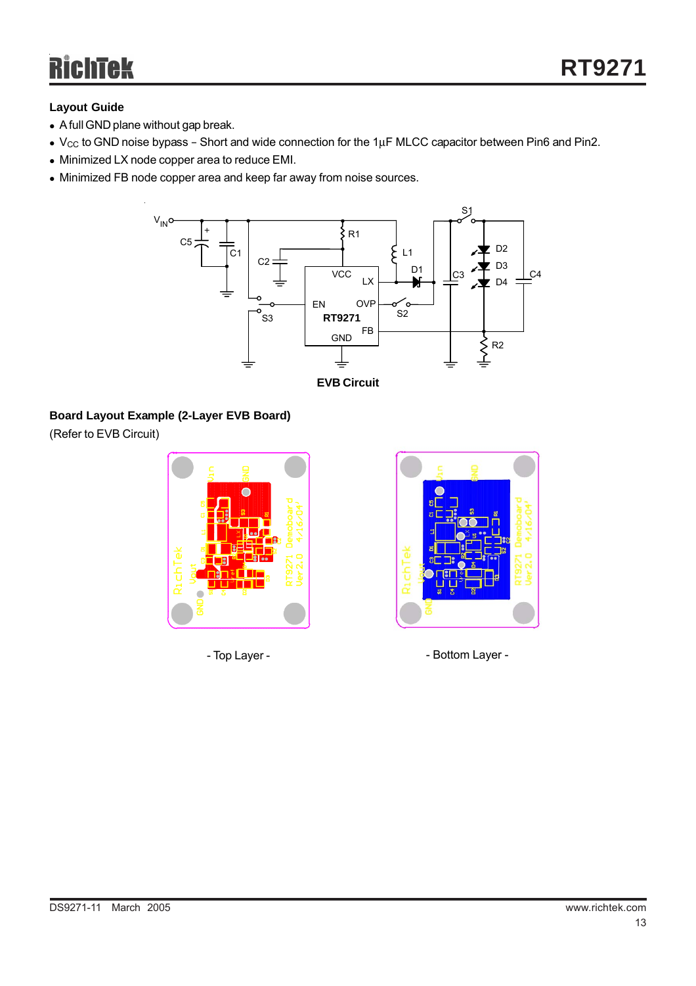# Richtek

### **Layout Guide**

- A full GND plane without gap break.
- $V_{CC}$  to GND noise bypass Short and wide connection for the 1 $\mu$ F MLCC capacitor between Pin6 and Pin2.
- Minimized LX node copper area to reduce EMI.
- Minimized FB node copper area and keep far away from noise sources.



**EVB Circuit**

### **Board Layout Example (2-Layer EVB Board)**

(Refer to EVB Circuit)





- Top Layer -  $\qquad \qquad$  - Bottom Layer -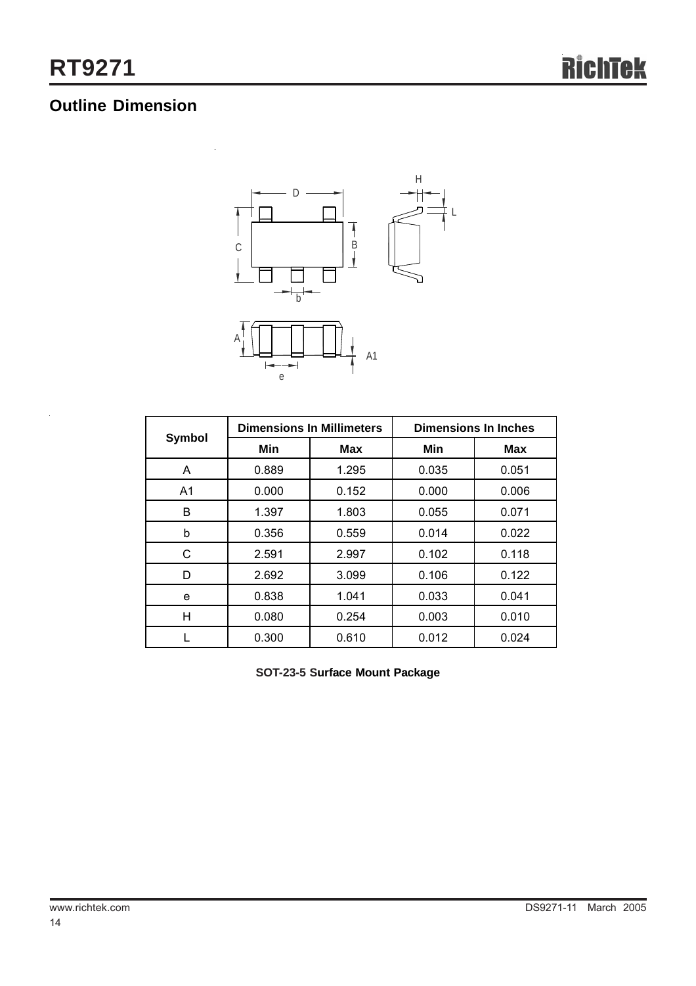## **Outline Dimension**



|                | <b>Dimensions In Millimeters</b> |       | <b>Dimensions In Inches</b> |            |
|----------------|----------------------------------|-------|-----------------------------|------------|
| <b>Symbol</b>  | Min                              | Max   | Min                         | <b>Max</b> |
| A              | 0.889                            | 1.295 | 0.035                       | 0.051      |
| A <sub>1</sub> | 0.000                            | 0.152 | 0.000                       | 0.006      |
| B              | 1.397                            | 1.803 | 0.055                       | 0.071      |
| b              | 0.356                            | 0.559 | 0.014                       | 0.022      |
| С              | 2.591                            | 2.997 | 0.102                       | 0.118      |
| D              | 2.692                            | 3.099 | 0.106                       | 0.122      |
| e              | 0.838                            | 1.041 | 0.033                       | 0.041      |
| н              | 0.080                            | 0.254 | 0.003                       | 0.010      |
|                | 0.300                            | 0.610 | 0.012                       | 0.024      |

**SOT-23-5 Surface Mount Package**